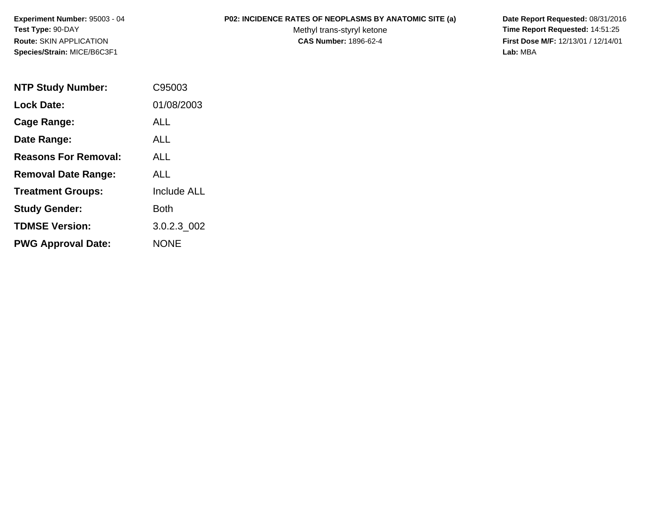# **P02: INCIDENCE RATES OF NEOPLASMS BY ANATOMIC SITE (a) Date Report Requested:** 08/31/2016

Methyl trans-styryl ketone<br>CAS Number: 1896-62-4

 **Time Report Requested:** 14:51:25 **First Dose M/F:** 12/13/01 / 12/14/01<br>Lab: MBA **Lab:** MBA

| <b>NTP Study Number:</b>    | C95003             |
|-----------------------------|--------------------|
| <b>Lock Date:</b>           | 01/08/2003         |
| Cage Range:                 | ALL                |
| Date Range:                 | <b>ALL</b>         |
| <b>Reasons For Removal:</b> | <b>ALL</b>         |
| <b>Removal Date Range:</b>  | ALL                |
| <b>Treatment Groups:</b>    | <b>Include ALL</b> |
| <b>Study Gender:</b>        | Both               |
| <b>TDMSE Version:</b>       | 3.0.2.3 002        |
| <b>PWG Approval Date:</b>   | <b>NONE</b>        |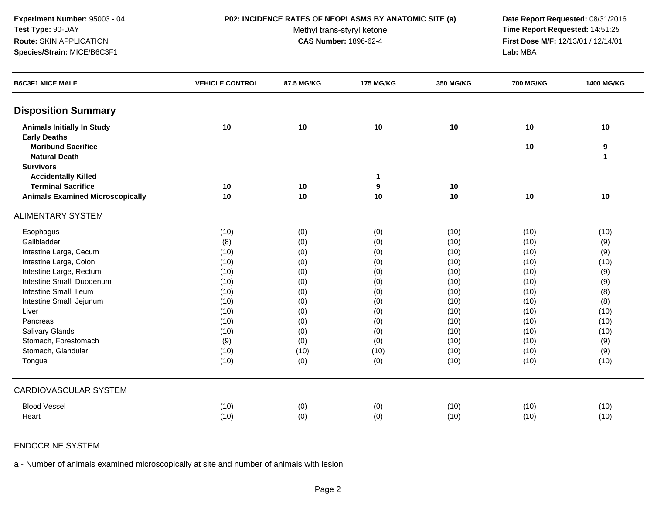# **P02: INCIDENCE RATES OF NEOPLASMS BY ANATOMIC SITE (a) Date Report Requested:** 08/31/2016

Methyl trans-styryl ketone<br>CAS Number: 1896-62-4

 **Time Report Requested:** 14:51:25 **First Dose M/F:** 12/13/01 / 12/14/01<br>**Lab:** MBA **Lab:** MBA

| <b>B6C3F1 MICE MALE</b>                 | <b>VEHICLE CONTROL</b> | 87.5 MG/KG | <b>175 MG/KG</b> | <b>350 MG/KG</b> | <b>700 MG/KG</b> | 1400 MG/KG   |
|-----------------------------------------|------------------------|------------|------------------|------------------|------------------|--------------|
| <b>Disposition Summary</b>              |                        |            |                  |                  |                  |              |
| <b>Animals Initially In Study</b>       | 10                     | 10         | 10               | 10               | 10               | 10           |
| <b>Early Deaths</b>                     |                        |            |                  |                  |                  |              |
| <b>Moribund Sacrifice</b>               |                        |            |                  |                  | 10               | 9            |
| <b>Natural Death</b>                    |                        |            |                  |                  |                  | $\mathbf{1}$ |
| <b>Survivors</b>                        |                        |            |                  |                  |                  |              |
| <b>Accidentally Killed</b>              |                        |            | $\mathbf 1$      |                  |                  |              |
| <b>Terminal Sacrifice</b>               | 10                     | 10         | 9                | 10               |                  |              |
| <b>Animals Examined Microscopically</b> | 10                     | 10         | 10               | 10               | 10               | 10           |
| <b>ALIMENTARY SYSTEM</b>                |                        |            |                  |                  |                  |              |
| Esophagus                               | (10)                   | (0)        | (0)              | (10)             | (10)             | (10)         |
| Gallbladder                             | (8)                    | (0)        | (0)              | (10)             | (10)             | (9)          |
| Intestine Large, Cecum                  | (10)                   | (0)        | (0)              | (10)             | (10)             | (9)          |
| Intestine Large, Colon                  | (10)                   | (0)        | (0)              | (10)             | (10)             | (10)         |
| Intestine Large, Rectum                 | (10)                   | (0)        | (0)              | (10)             | (10)             | (9)          |
| Intestine Small, Duodenum               | (10)                   | (0)        | (0)              | (10)             | (10)             | (9)          |
| Intestine Small, Ileum                  | (10)                   | (0)        | (0)              | (10)             | (10)             | (8)          |
| Intestine Small, Jejunum                | (10)                   | (0)        | (0)              | (10)             | (10)             | (8)          |
| Liver                                   | (10)                   | (0)        | (0)              | (10)             | (10)             | (10)         |
| Pancreas                                | (10)                   | (0)        | (0)              | (10)             | (10)             | (10)         |
| Salivary Glands                         | (10)                   | (0)        | (0)              | (10)             | (10)             | (10)         |
| Stomach, Forestomach                    | (9)                    | (0)        | (0)              | (10)             | (10)             | (9)          |
| Stomach, Glandular                      | (10)                   | (10)       | (10)             | (10)             | (10)             | (9)          |
| Tongue                                  | (10)                   | (0)        | (0)              | (10)             | (10)             | (10)         |
| <b>CARDIOVASCULAR SYSTEM</b>            |                        |            |                  |                  |                  |              |
| <b>Blood Vessel</b>                     | (10)                   | (0)        | (0)              | (10)             | (10)             | (10)         |
| Heart                                   | (10)                   | (0)        | (0)              | (10)             | (10)             | (10)         |

# ENDOCRINE SYSTEM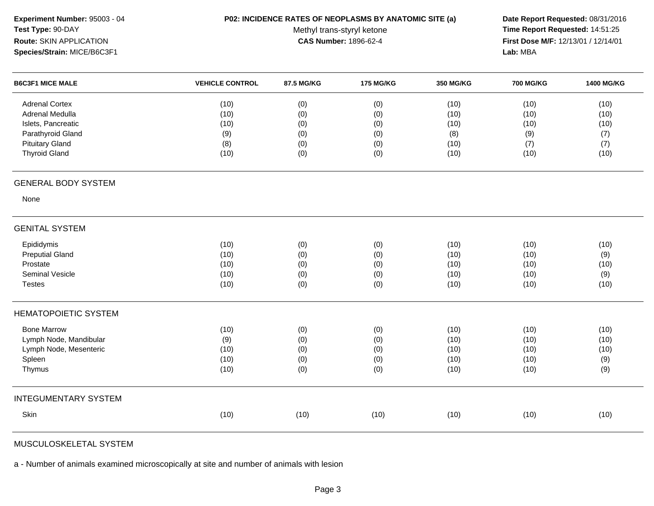| Experiment Number: 95003 - 04<br>Test Type: 90-DAY<br><b>Route: SKIN APPLICATION</b><br>Species/Strain: MICE/B6C3F1 |                        | P02: INCIDENCE RATES OF NEOPLASMS BY ANATOMIC SITE (a)<br>Methyl trans-styryl ketone<br><b>CAS Number: 1896-62-4</b> |                  |           |                  |            |
|---------------------------------------------------------------------------------------------------------------------|------------------------|----------------------------------------------------------------------------------------------------------------------|------------------|-----------|------------------|------------|
| <b>B6C3F1 MICE MALE</b>                                                                                             | <b>VEHICLE CONTROL</b> | 87.5 MG/KG                                                                                                           | <b>175 MG/KG</b> | 350 MG/KG | <b>700 MG/KG</b> | 1400 MG/KG |
| <b>Adrenal Cortex</b>                                                                                               | (10)                   | (0)                                                                                                                  | (0)              | (10)      | (10)             | (10)       |
| Adrenal Medulla                                                                                                     | (10)                   | (0)                                                                                                                  | (0)              | (10)      | (10)             | (10)       |
| Islets, Pancreatic                                                                                                  | (10)                   | (0)                                                                                                                  | (0)              | (10)      | (10)             | (10)       |
| Parathyroid Gland                                                                                                   | (9)                    | (0)                                                                                                                  | (0)              | (8)       | (9)              | (7)        |
| <b>Pituitary Gland</b>                                                                                              | (8)                    | (0)                                                                                                                  | (0)              | (10)      | (7)              | (7)        |
| <b>Thyroid Gland</b>                                                                                                | (10)                   | (0)                                                                                                                  | (0)              | (10)      | (10)             | (10)       |
| <b>GENERAL BODY SYSTEM</b>                                                                                          |                        |                                                                                                                      |                  |           |                  |            |
| None                                                                                                                |                        |                                                                                                                      |                  |           |                  |            |
| <b>GENITAL SYSTEM</b>                                                                                               |                        |                                                                                                                      |                  |           |                  |            |
| Epididymis                                                                                                          | (10)                   | (0)                                                                                                                  | (0)              | (10)      | (10)             | (10)       |
| <b>Preputial Gland</b>                                                                                              | (10)                   | (0)                                                                                                                  | (0)              | (10)      | (10)             | (9)        |
| Prostate                                                                                                            | (10)                   | (0)                                                                                                                  | (0)              | (10)      | (10)             | (10)       |
| Seminal Vesicle                                                                                                     | (10)                   | (0)                                                                                                                  | (0)              | (10)      | (10)             | (9)        |
| <b>Testes</b>                                                                                                       | (10)                   | (0)                                                                                                                  | (0)              | (10)      | (10)             | (10)       |
| <b>HEMATOPOIETIC SYSTEM</b>                                                                                         |                        |                                                                                                                      |                  |           |                  |            |
| <b>Bone Marrow</b>                                                                                                  | (10)                   | (0)                                                                                                                  | (0)              | (10)      | (10)             | (10)       |
| Lymph Node, Mandibular                                                                                              | (9)                    | (0)                                                                                                                  | (0)              | (10)      | (10)             | (10)       |
| Lymph Node, Mesenteric                                                                                              | (10)                   | (0)                                                                                                                  | (0)              | (10)      | (10)             | (10)       |
| Spleen                                                                                                              | (10)                   | (0)                                                                                                                  | (0)              | (10)      | (10)             | (9)        |
| Thymus                                                                                                              | (10)                   | (0)                                                                                                                  | (0)              | (10)      | (10)             | (9)        |
| <b>INTEGUMENTARY SYSTEM</b>                                                                                         |                        |                                                                                                                      |                  |           |                  |            |
| Skin                                                                                                                | (10)                   | (10)                                                                                                                 | (10)             | (10)      | (10)             | (10)       |
|                                                                                                                     |                        |                                                                                                                      |                  |           |                  |            |

MUSCULOSKELETAL SYSTEM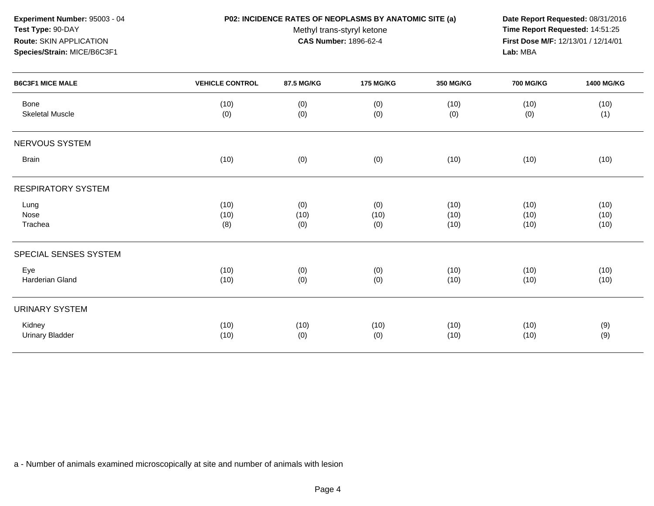### **P02: INCIDENCE RATES OF NEOPLASMS BY ANATOMIC SITE (a) Date Report Requested:** 08/31/2016

Methyl trans-styryl ketone<br>CAS Number: 1896-62-4

 **Time Report Requested:** 14:51:25 **First Dose M/F:** 12/13/01 / 12/14/01<br>**Lab:** MBA **Lab:** MBA

| <b>B6C3F1 MICE MALE</b>          | <b>VEHICLE CONTROL</b> | 87.5 MG/KG  | <b>175 MG/KG</b> | 350 MG/KG    | <b>700 MG/KG</b> | <b>1400 MG/KG</b> |
|----------------------------------|------------------------|-------------|------------------|--------------|------------------|-------------------|
| Bone<br><b>Skeletal Muscle</b>   | (10)<br>(0)            | (0)<br>(0)  | (0)<br>(0)       | (10)<br>(0)  | (10)<br>(0)      | (10)<br>(1)       |
| NERVOUS SYSTEM                   |                        |             |                  |              |                  |                   |
| <b>Brain</b>                     | (10)                   | (0)         | (0)              | (10)         | (10)             | (10)              |
| <b>RESPIRATORY SYSTEM</b>        |                        |             |                  |              |                  |                   |
| Lung<br>Nose                     | (10)<br>(10)           | (0)<br>(10) | (0)<br>(10)      | (10)<br>(10) | (10)<br>(10)     | (10)<br>(10)      |
| Trachea                          | (8)                    | (0)         | (0)              | (10)         | (10)             | (10)              |
| SPECIAL SENSES SYSTEM            |                        |             |                  |              |                  |                   |
| Eye<br>Harderian Gland           | (10)<br>(10)           | (0)<br>(0)  | (0)<br>(0)       | (10)<br>(10) | (10)<br>(10)     | (10)<br>(10)      |
| <b>URINARY SYSTEM</b>            |                        |             |                  |              |                  |                   |
| Kidney<br><b>Urinary Bladder</b> | (10)<br>(10)           | (10)<br>(0) | (10)<br>(0)      | (10)<br>(10) | (10)<br>(10)     | (9)<br>(9)        |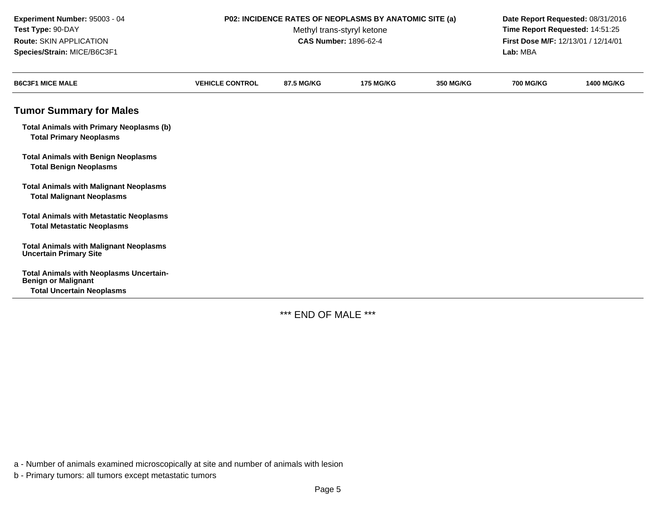| Experiment Number: 95003 - 04<br>Test Type: 90-DAY<br>Route: SKIN APPLICATION<br>Species/Strain: MICE/B6C3F1     | P02: INCIDENCE RATES OF NEOPLASMS BY ANATOMIC SITE (a)<br>Methyl trans-styryl ketone<br><b>CAS Number: 1896-62-4</b> |            |                  |                  | Date Report Requested: 08/31/2016<br>Time Report Requested: 14:51:25<br>First Dose M/F: 12/13/01 / 12/14/01<br>Lab: MBA |                   |
|------------------------------------------------------------------------------------------------------------------|----------------------------------------------------------------------------------------------------------------------|------------|------------------|------------------|-------------------------------------------------------------------------------------------------------------------------|-------------------|
| <b>B6C3F1 MICE MALE</b>                                                                                          | <b>VEHICLE CONTROL</b>                                                                                               | 87.5 MG/KG | <b>175 MG/KG</b> | <b>350 MG/KG</b> | <b>700 MG/KG</b>                                                                                                        | <b>1400 MG/KG</b> |
| <b>Tumor Summary for Males</b>                                                                                   |                                                                                                                      |            |                  |                  |                                                                                                                         |                   |
| <b>Total Animals with Primary Neoplasms (b)</b><br><b>Total Primary Neoplasms</b>                                |                                                                                                                      |            |                  |                  |                                                                                                                         |                   |
| <b>Total Animals with Benign Neoplasms</b><br><b>Total Benign Neoplasms</b>                                      |                                                                                                                      |            |                  |                  |                                                                                                                         |                   |
| <b>Total Animals with Malignant Neoplasms</b><br><b>Total Malignant Neoplasms</b>                                |                                                                                                                      |            |                  |                  |                                                                                                                         |                   |
| <b>Total Animals with Metastatic Neoplasms</b><br><b>Total Metastatic Neoplasms</b>                              |                                                                                                                      |            |                  |                  |                                                                                                                         |                   |
| <b>Total Animals with Malignant Neoplasms</b><br><b>Uncertain Primary Site</b>                                   |                                                                                                                      |            |                  |                  |                                                                                                                         |                   |
| <b>Total Animals with Neoplasms Uncertain-</b><br><b>Benign or Malignant</b><br><b>Total Uncertain Neoplasms</b> |                                                                                                                      |            |                  |                  |                                                                                                                         |                   |

\*\*\* END OF MALE \*\*\*

a - Number of animals examined microscopically at site and number of animals with lesion

b - Primary tumors: all tumors except metastatic tumors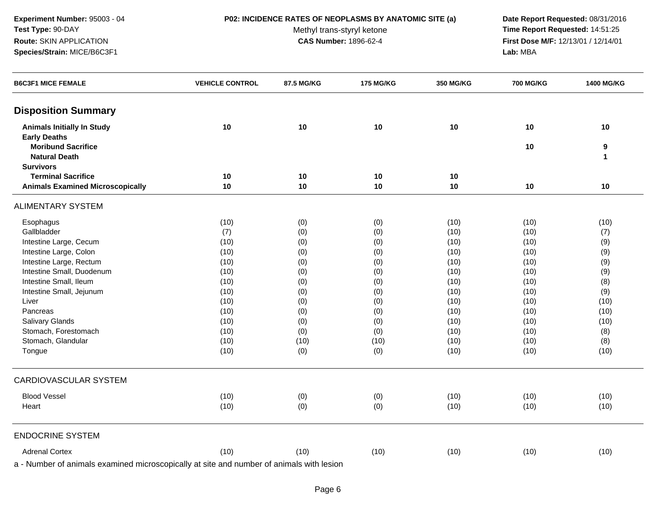### **P02: INCIDENCE RATES OF NEOPLASMS BY ANATOMIC SITE (a) Date Report Requested:** 08/31/2016

Methyl trans-styryl ketone<br>CAS Number: 1896-62-4

 **Time Report Requested:** 14:51:25 **First Dose M/F:** 12/13/01 / 12/14/01<br>Lab: MBA **Lab:** MBA

| <b>B6C3F1 MICE FEMALE</b>                                                                                                                                                                                                           | <b>VEHICLE CONTROL</b>                       | 87.5 MG/KG              | <b>175 MG/KG</b> | 350 MG/KG | <b>700 MG/KG</b> | 1400 MG/KG |
|-------------------------------------------------------------------------------------------------------------------------------------------------------------------------------------------------------------------------------------|----------------------------------------------|-------------------------|------------------|-----------|------------------|------------|
| <b>Disposition Summary</b>                                                                                                                                                                                                          |                                              |                         |                  |           |                  |            |
| <b>Animals Initially In Study</b>                                                                                                                                                                                                   | 10                                           | 10                      | 10               | 10        | 10               | 10         |
| <b>Early Deaths</b>                                                                                                                                                                                                                 |                                              |                         |                  |           |                  |            |
| <b>Moribund Sacrifice</b>                                                                                                                                                                                                           |                                              |                         |                  |           | 10               | 9          |
| <b>Natural Death</b>                                                                                                                                                                                                                |                                              |                         |                  |           |                  | 1          |
| <b>Survivors</b>                                                                                                                                                                                                                    |                                              |                         |                  |           |                  |            |
| <b>Terminal Sacrifice</b>                                                                                                                                                                                                           | 10                                           | 10                      | 10               | 10        |                  |            |
| <b>Animals Examined Microscopically</b>                                                                                                                                                                                             | 10                                           | 10                      | 10               | 10        | 10               | 10         |
| <b>ALIMENTARY SYSTEM</b>                                                                                                                                                                                                            |                                              |                         |                  |           |                  |            |
| Esophagus                                                                                                                                                                                                                           | (10)                                         | (0)                     | (0)              | (10)      | (10)             | (10)       |
| Gallbladder                                                                                                                                                                                                                         | (7)                                          | (0)                     | (0)              | (10)      | (10)             | (7)        |
| Intestine Large, Cecum                                                                                                                                                                                                              | (10)                                         | (0)                     | (0)              | (10)      | (10)             | (9)        |
| Intestine Large, Colon                                                                                                                                                                                                              | (10)                                         | (0)                     | (0)              | (10)      | (10)             | (9)        |
| Intestine Large, Rectum                                                                                                                                                                                                             | (10)                                         | (0)                     | (0)              | (10)      | (10)             | (9)        |
| Intestine Small, Duodenum                                                                                                                                                                                                           | (10)                                         | (0)                     | (0)              | (10)      | (10)             | (9)        |
| Intestine Small, Ileum                                                                                                                                                                                                              | (10)                                         | (0)                     | (0)              | (10)      | (10)             | (8)        |
| Intestine Small, Jejunum                                                                                                                                                                                                            | (10)                                         | (0)                     | (0)              | (10)      | (10)             | (9)        |
| Liver                                                                                                                                                                                                                               | (10)                                         | (0)                     | (0)              | (10)      | (10)             | (10)       |
| Pancreas                                                                                                                                                                                                                            | (10)                                         | (0)                     | (0)              | (10)      | (10)             | (10)       |
| Salivary Glands                                                                                                                                                                                                                     | (10)                                         | (0)                     | (0)              | (10)      | (10)             | (10)       |
| Stomach, Forestomach                                                                                                                                                                                                                | (10)                                         | (0)                     | (0)              | (10)      | (10)             | (8)        |
| Stomach, Glandular                                                                                                                                                                                                                  | (10)                                         | (10)                    | (10)             | (10)      | (10)             | (8)        |
| Tongue                                                                                                                                                                                                                              | (10)                                         | (0)                     | (0)              | (10)      | (10)             | (10)       |
| CARDIOVASCULAR SYSTEM                                                                                                                                                                                                               |                                              |                         |                  |           |                  |            |
| <b>Blood Vessel</b>                                                                                                                                                                                                                 | (10)                                         | (0)                     | (0)              | (10)      | (10)             | (10)       |
| Heart                                                                                                                                                                                                                               | (10)                                         | (0)                     | (0)              | (10)      | (10)             | (10)       |
| <b>ENDOCRINE SYSTEM</b>                                                                                                                                                                                                             |                                              |                         |                  |           |                  |            |
| <b>Adrenal Cortex</b>                                                                                                                                                                                                               | (10)                                         | (10)                    | (10)             | (10)      | (10)             | (10)       |
| <b>All the distribution of the state of the state of the state of the state of the state of the state of the state of the state of the state of the state of the state of the state of the state of the state of the state of t</b> | and the self-community of the self-community | The Control of the Con- |                  |           |                  |            |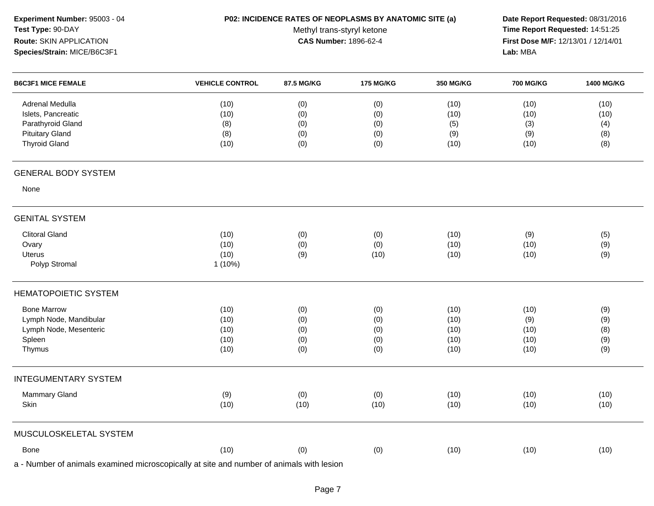| Experiment Number: 95003 - 04<br>Test Type: 90-DAY<br>Route: SKIN APPLICATION<br>Species/Strain: MICE/B6C3F1 | P02: INCIDENCE RATES OF NEOPLASMS BY ANATOMIC SITE (a)<br>Methyl trans-styryl ketone<br><b>CAS Number: 1896-62-4</b> |                                 |                                 |                                      | Date Report Requested: 08/31/2016<br>Time Report Requested: 14:51:25<br>First Dose M/F: 12/13/01 / 12/14/01<br>Lab: MBA |                                   |  |
|--------------------------------------------------------------------------------------------------------------|----------------------------------------------------------------------------------------------------------------------|---------------------------------|---------------------------------|--------------------------------------|-------------------------------------------------------------------------------------------------------------------------|-----------------------------------|--|
| <b>B6C3F1 MICE FEMALE</b>                                                                                    | <b>VEHICLE CONTROL</b>                                                                                               | 87.5 MG/KG                      | <b>175 MG/KG</b>                | <b>350 MG/KG</b>                     | <b>700 MG/KG</b>                                                                                                        | 1400 MG/KG                        |  |
| Adrenal Medulla<br>Islets, Pancreatic<br>Parathyroid Gland<br><b>Pituitary Gland</b><br><b>Thyroid Gland</b> | (10)<br>(10)<br>(8)<br>(8)<br>(10)                                                                                   | (0)<br>(0)<br>(0)<br>(0)<br>(0) | (0)<br>(0)<br>(0)<br>(0)<br>(0) | (10)<br>(10)<br>(5)<br>(9)<br>(10)   | (10)<br>(10)<br>(3)<br>(9)<br>(10)                                                                                      | (10)<br>(10)<br>(4)<br>(8)<br>(8) |  |
| <b>GENERAL BODY SYSTEM</b>                                                                                   |                                                                                                                      |                                 |                                 |                                      |                                                                                                                         |                                   |  |
| None                                                                                                         |                                                                                                                      |                                 |                                 |                                      |                                                                                                                         |                                   |  |
| <b>GENITAL SYSTEM</b>                                                                                        |                                                                                                                      |                                 |                                 |                                      |                                                                                                                         |                                   |  |
| <b>Clitoral Gland</b><br>Ovary<br><b>Uterus</b><br>Polyp Stromal                                             | (10)<br>(10)<br>(10)<br>1(10%)                                                                                       | (0)<br>(0)<br>(9)               | (0)<br>(0)<br>(10)              | (10)<br>(10)<br>(10)                 | (9)<br>(10)<br>(10)                                                                                                     | (5)<br>(9)<br>(9)                 |  |
| <b>HEMATOPOIETIC SYSTEM</b>                                                                                  |                                                                                                                      |                                 |                                 |                                      |                                                                                                                         |                                   |  |
| <b>Bone Marrow</b><br>Lymph Node, Mandibular<br>Lymph Node, Mesenteric<br>Spleen<br>Thymus                   | (10)<br>(10)<br>(10)<br>(10)<br>(10)                                                                                 | (0)<br>(0)<br>(0)<br>(0)<br>(0) | (0)<br>(0)<br>(0)<br>(0)<br>(0) | (10)<br>(10)<br>(10)<br>(10)<br>(10) | (10)<br>(9)<br>(10)<br>(10)<br>(10)                                                                                     | (9)<br>(9)<br>(8)<br>(9)<br>(9)   |  |
| <b>INTEGUMENTARY SYSTEM</b>                                                                                  |                                                                                                                      |                                 |                                 |                                      |                                                                                                                         |                                   |  |
| Mammary Gland<br>Skin                                                                                        | (9)<br>(10)                                                                                                          | (0)<br>(10)                     | (0)<br>(10)                     | (10)<br>(10)                         | (10)<br>(10)                                                                                                            | (10)<br>(10)                      |  |
| MUSCULOSKELETAL SYSTEM                                                                                       |                                                                                                                      |                                 |                                 |                                      |                                                                                                                         |                                   |  |
| Bone                                                                                                         | (10)                                                                                                                 | (0)                             | (0)                             | (10)                                 | (10)                                                                                                                    | (10)                              |  |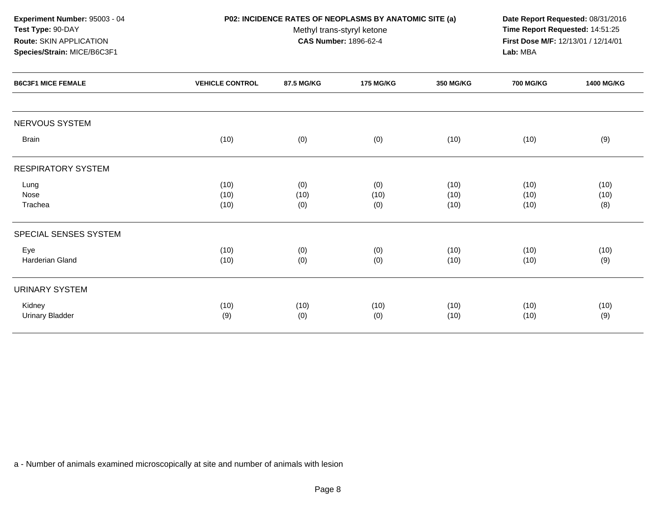NERVOUS SYSTEMBrain (10) (0) (0) (10) (10) (9) RESPIRATORY SYSTEMLung (10) (0) (0) (10) (10) (10) Nose (10) (10) (10) (10) (10) (10) Trachea (10) (0) (0) (10) (10) (8) SPECIAL SENSES SYSTEMEye (10) (0) (0) (10) (10) (10) Harderian Gland (10) (0) (0) (10) (10) (9) URINARY SYSTEMKidney (10) (10) (10) (10) (10) (10) Urinary Bladderr (9) (9) (0) (0) (10) (10) (10) (10) (10) (10) **Experiment Number:** 95003 - 04 **P02: INCIDENCE RATES OF NEOPLASMS BY ANATOMIC SITE (a) Date Report Requested:** 08/31/2016 **Test Type:** 90-DAYMethyl trans-styryl ketone<br>CAS Number: 1896-62-4 **Time Report Requested:** 14:51:25 **Route:** SKIN APPLICATION**First Dose M/F:** 12/13/01 / 12/14/01<br>**Lab:** MBA **Species/Strain:** MICE/B6C3F1 **Lab:** MBA**B6C3F1 MICE FEMALE VEHICLE CONTROL 87.5 MG/KG175 MG/KG 350 MG/KG 700 MG/KG 1400 MG/KG**